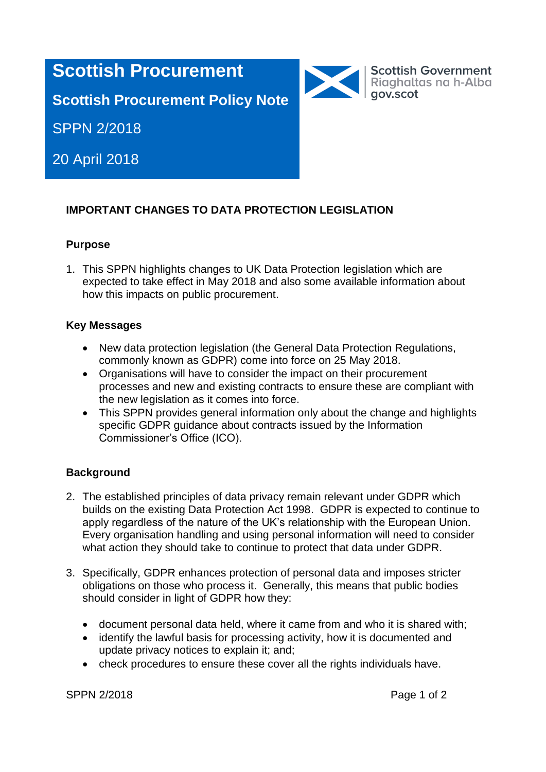# **Scottish Procurement**

Scottish Government<br>Riaghaltas na h-Alba<br>gov.scot

**Scottish Procurement Policy Note**

SPPN 2/2018

20 April 2018

# **IMPORTANT CHANGES TO DATA PROTECTION LEGISLATION**

## **Purpose**

1. This SPPN highlights changes to UK Data Protection legislation which are expected to take effect in May 2018 and also some available information about how this impacts on public procurement.

## **Key Messages**

- New data protection legislation (the General Data Protection Regulations, commonly known as GDPR) come into force on 25 May 2018.
- Organisations will have to consider the impact on their procurement processes and new and existing contracts to ensure these are compliant with the new legislation as it comes into force.
- This SPPN provides general information only about the change and highlights specific GDPR guidance about contracts issued by the Information Commissioner's Office (ICO).

# **Background**

- 2. The established principles of data privacy remain relevant under GDPR which builds on the existing Data Protection Act 1998. GDPR is expected to continue to apply regardless of the nature of the UK's relationship with the European Union. Every organisation handling and using personal information will need to consider what action they should take to continue to protect that data under GDPR.
- 3. Specifically, GDPR enhances protection of personal data and imposes stricter obligations on those who process it. Generally, this means that public bodies should consider in light of GDPR how they:
	- document personal data held, where it came from and who it is shared with;
	- identify the lawful basis for processing activity, how it is documented and update privacy notices to explain it; and;
	- check procedures to ensure these cover all the rights individuals have.